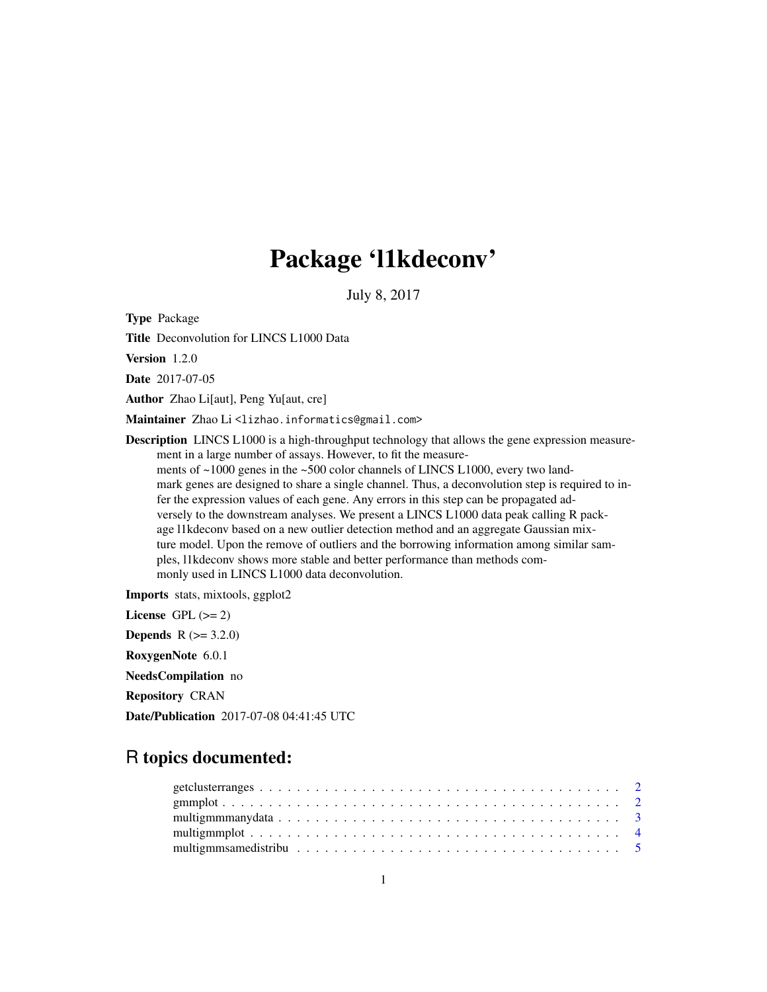## Package 'l1kdeconv'

July 8, 2017

Type Package

Title Deconvolution for LINCS L1000 Data

Version 1.2.0

Date 2017-07-05

Author Zhao Li[aut], Peng Yu[aut, cre]

Maintainer Zhao Li<lizhao.informatics@gmail.com>

Description LINCS L1000 is a high-throughput technology that allows the gene expression measurement in a large number of assays. However, to fit the measurements of ~1000 genes in the ~500 color channels of LINCS L1000, every two landmark genes are designed to share a single channel. Thus, a deconvolution step is required to infer the expression values of each gene. Any errors in this step can be propagated adversely to the downstream analyses. We present a LINCS L1000 data peak calling R package l1kdeconv based on a new outlier detection method and an aggregate Gaussian mixture model. Upon the remove of outliers and the borrowing information among similar samples, l1kdeconv shows more stable and better performance than methods commonly used in LINCS L1000 data deconvolution.

Imports stats, mixtools, ggplot2

License GPL  $(>= 2)$ **Depends**  $R (= 3.2.0)$ RoxygenNote 6.0.1 NeedsCompilation no Repository CRAN Date/Publication 2017-07-08 04:41:45 UTC

### R topics documented: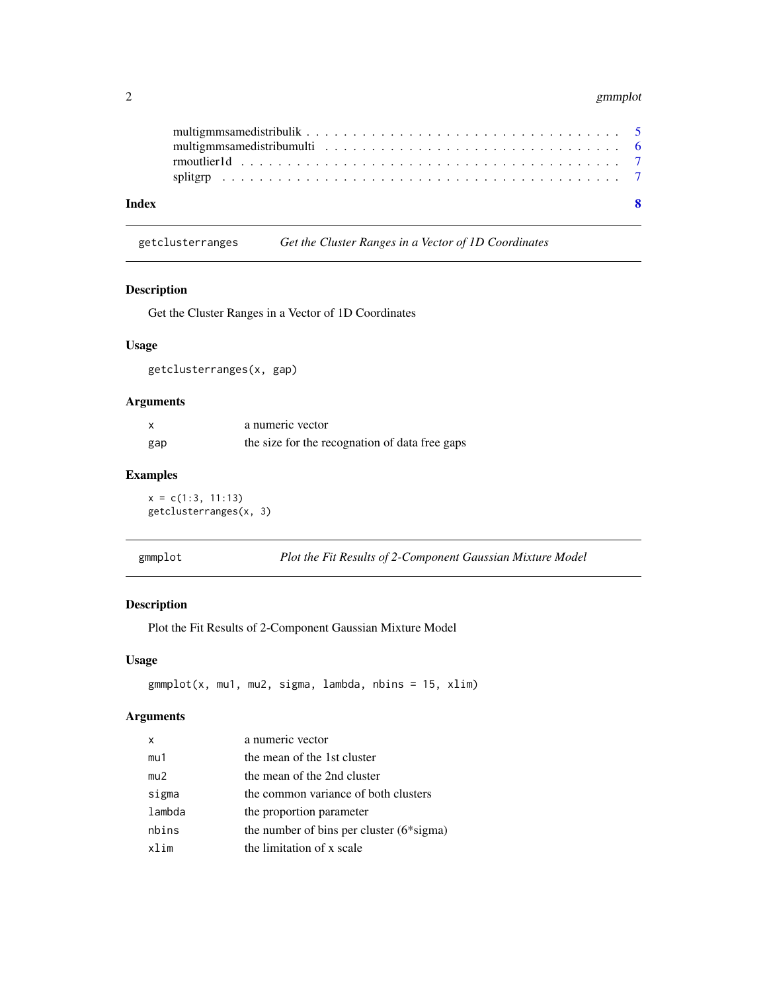#### <span id="page-1-0"></span>2 gmmplot

|       | multigmmsamedistribumulti $\ldots \ldots \ldots \ldots \ldots \ldots \ldots \ldots \ldots \ldots \ldots$ |  |
|-------|----------------------------------------------------------------------------------------------------------|--|
|       |                                                                                                          |  |
| Index | $\mathbf{R}$                                                                                             |  |

getclusterranges *Get the Cluster Ranges in a Vector of 1D Coordinates*

#### Description

Get the Cluster Ranges in a Vector of 1D Coordinates

#### Usage

getclusterranges(x, gap)

#### Arguments

|     | a numeric vector                               |
|-----|------------------------------------------------|
| gap | the size for the recognation of data free gaps |

#### Examples

 $x = c(1:3, 11:13)$ getclusterranges(x, 3)

| gmmp⊥o |  |
|--------|--|
|        |  |
|        |  |

Plot the Fit Results of 2-Component Gaussian Mixture Model

#### Description

Plot the Fit Results of 2-Component Gaussian Mixture Model

#### Usage

gmmplot(x, mu1, mu2, sigma, lambda, nbins = 15, xlim)

#### Arguments

| $\boldsymbol{\mathsf{x}}$ | a numeric vector                             |
|---------------------------|----------------------------------------------|
| mu1                       | the mean of the 1st cluster                  |
| mu2                       | the mean of the 2nd cluster                  |
| sigma                     | the common variance of both clusters         |
| lambda                    | the proportion parameter                     |
| nbins                     | the number of bins per cluster $(6*)$ sigma) |
| xlim                      | the limitation of x scale                    |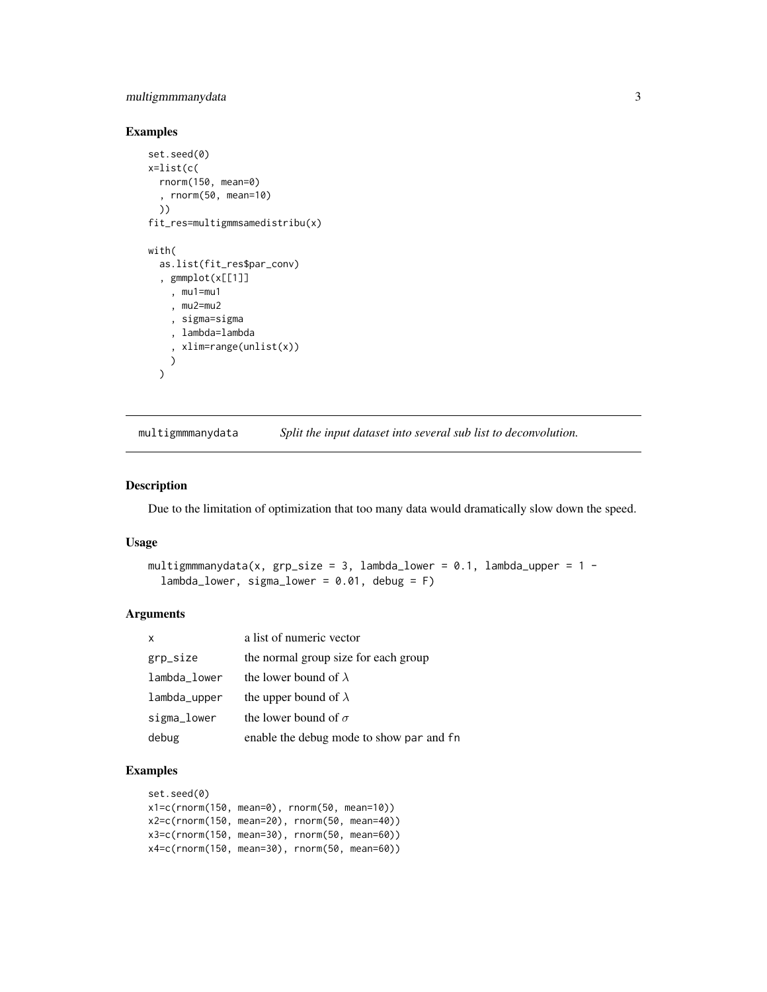#### <span id="page-2-0"></span>multigmmmanydata 3

#### Examples

```
set.seed(0)
x=list(c(
  rnorm(150, mean=0)
  , rnorm(50, mean=10)
  ))
fit_res=multigmmsamedistribu(x)
with(
  as.list(fit_res$par_conv)
  , gmmplot(x[[1]]
    , mu1=mu1
    , mu2=mu2
    , sigma=sigma
    , lambda=lambda
    , xlim=range(unlist(x))
    \lambda\mathcal{L}
```
multigmmmanydata *Split the input dataset into several sub list to deconvolution.*

#### Description

Due to the limitation of optimization that too many data would dramatically slow down the speed.

#### Usage

```
multigmmmanydata(x, grp_size = 3, lambda_lower = 0.1, lambda_upper = 1 -lambda_lower, sigma_lower = 0.01, debug = F)
```
#### Arguments

| $\boldsymbol{\mathsf{x}}$ | a list of numeric vector                 |
|---------------------------|------------------------------------------|
| grp_size                  | the normal group size for each group     |
| lambda_lower              | the lower bound of $\lambda$             |
| lambda_upper              | the upper bound of $\lambda$             |
| sigma_lower               | the lower bound of $\sigma$              |
| debug                     | enable the debug mode to show par and fn |

```
set.seed(0)
x1=c(rnorm(150, mean=0), rnorm(50, mean=10))
x2=c(rnorm(150, mean=20), rnorm(50, mean=40))
x3=c(rnorm(150, mean=30), rnorm(50, mean=60))
x4=c(rnorm(150, mean=30), rnorm(50, mean=60))
```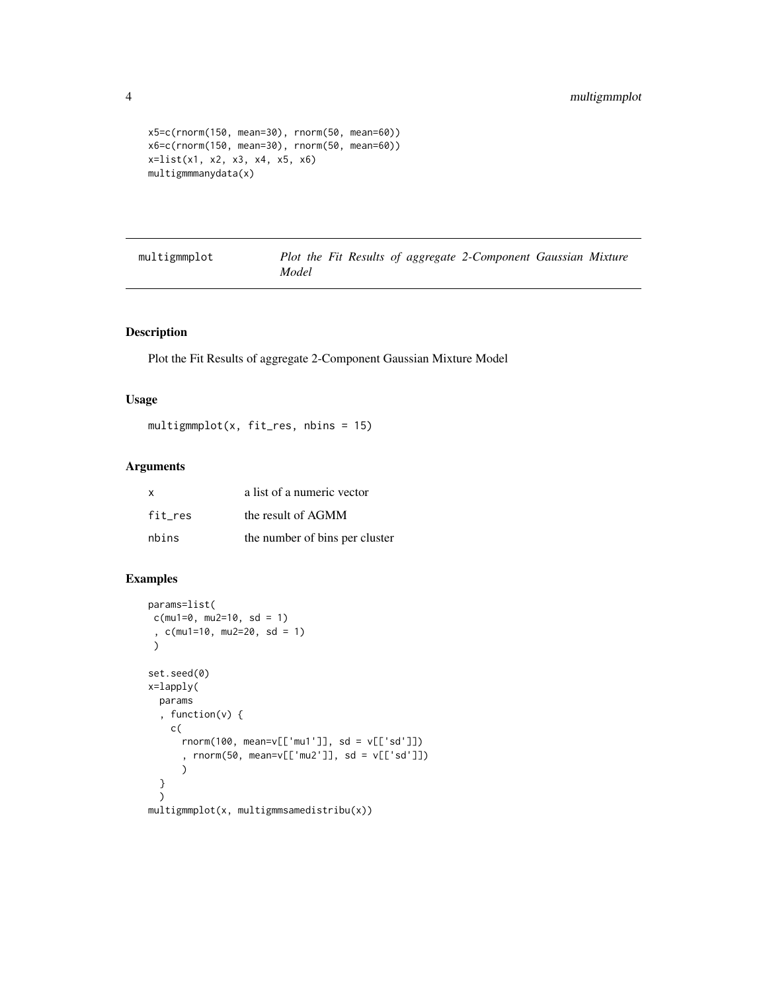```
x5=c(rnorm(150, mean=30), rnorm(50, mean=60))
x6=c(rnorm(150, mean=30), rnorm(50, mean=60))
x=list(x1, x2, x3, x4, x5, x6)
multigmmmanydata(x)
```
multigmmplot *Plot the Fit Results of aggregate 2-Component Gaussian Mixture Model*

#### Description

Plot the Fit Results of aggregate 2-Component Gaussian Mixture Model

#### Usage

multigmmplot(x, fit\_res, nbins = 15)

#### Arguments

| $\mathbf{x}$ | a list of a numeric vector     |
|--------------|--------------------------------|
| fit res      | the result of AGMM             |
| nbins        | the number of bins per cluster |

```
params=list(
c(mu1=0, mu2=10, sd = 1), c(mu1=10, mu2=20, sd = 1)
 )
set.seed(0)
x=lapply(
  params
  , function(v) {
   c(
      rnorm(100, mean=v[['mu1']], sd = v[['sd']])
      , rnorm(50, mean=v[['mu2']], sd = v[['sd']])
      )
  }
  )
multigmmplot(x, multigmmsamedistribu(x))
```
<span id="page-3-0"></span>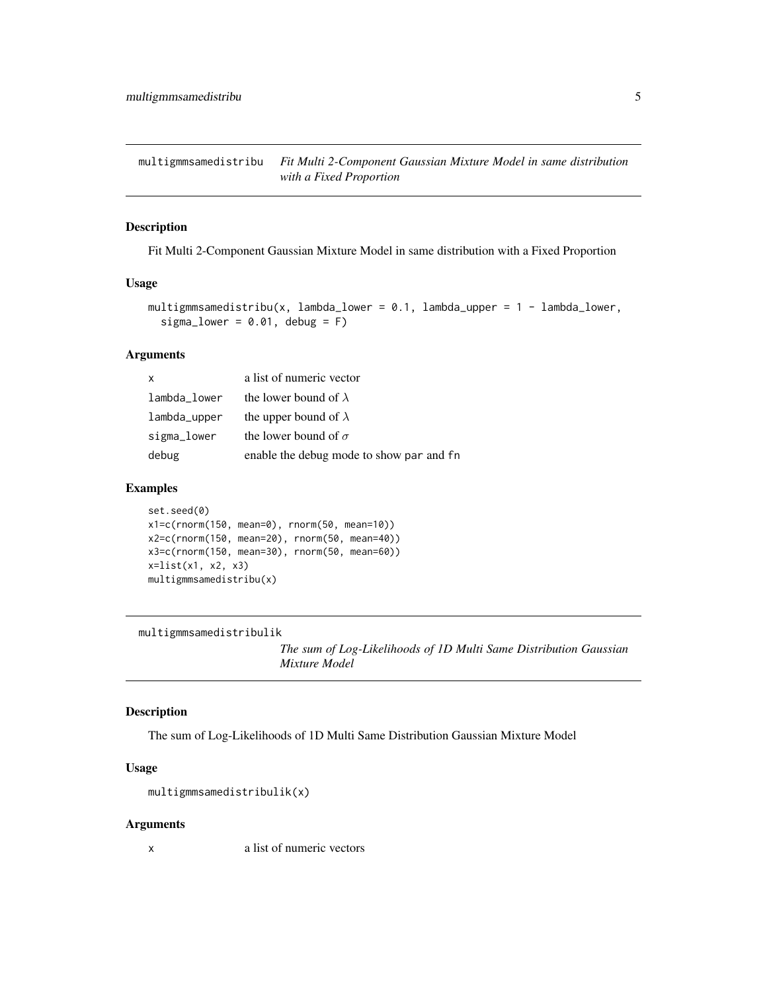<span id="page-4-0"></span>multigmmsamedistribu *Fit Multi 2-Component Gaussian Mixture Model in same distribution with a Fixed Proportion*

#### Description

Fit Multi 2-Component Gaussian Mixture Model in same distribution with a Fixed Proportion

#### Usage

```
multigmmsamedistribu(x, lambda_lower = 0.1, lambda_upper = 1 - lambda_lower,
  sigma_lower = 0.01, debug = F)
```
#### Arguments

| $\mathsf{x}$ | a list of numeric vector                 |
|--------------|------------------------------------------|
| lambda lower | the lower bound of $\lambda$             |
| lambda_upper | the upper bound of $\lambda$             |
| sigma_lower  | the lower bound of $\sigma$              |
| debug        | enable the debug mode to show par and fn |

#### Examples

```
set.seed(0)
x1=c(rnorm(150, mean=0), rnorm(50, mean=10))
x2=c(rnorm(150, mean=20), rnorm(50, mean=40))
x3=c(rnorm(150, mean=30), rnorm(50, mean=60))
x=list(x1, x2, x3)
multigmmsamedistribu(x)
```
multigmmsamedistribulik

*The sum of Log-Likelihoods of 1D Multi Same Distribution Gaussian Mixture Model*

#### Description

The sum of Log-Likelihoods of 1D Multi Same Distribution Gaussian Mixture Model

#### Usage

```
multigmmsamedistribulik(x)
```
#### Arguments

x a list of numeric vectors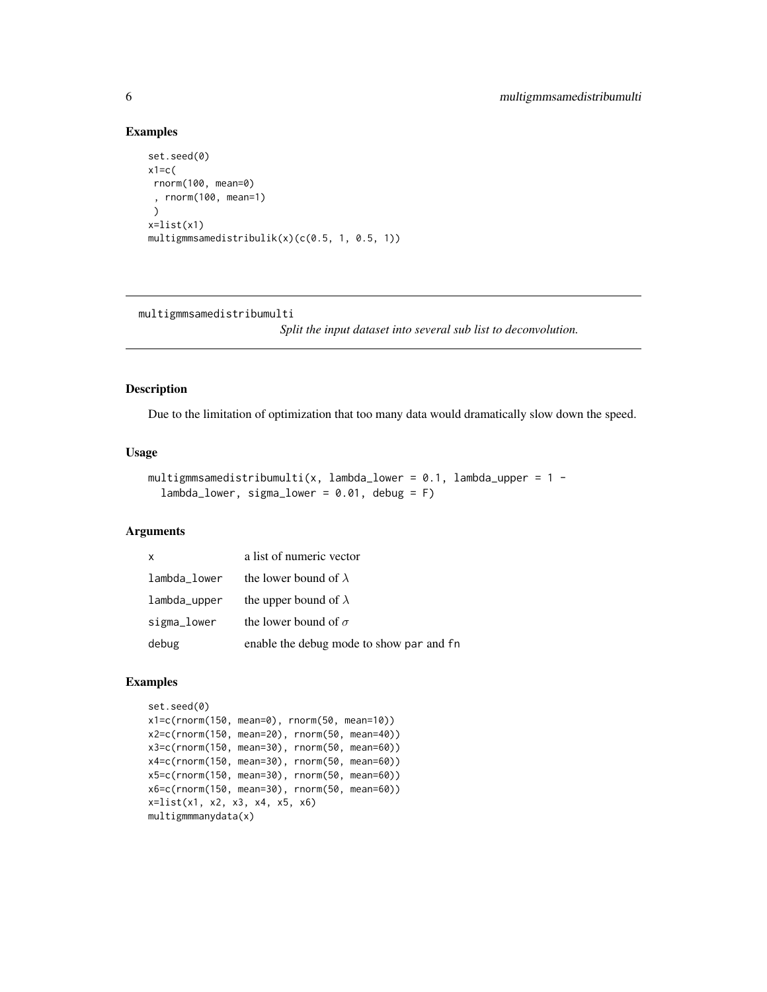#### Examples

```
set.seed(0)
x1=c(
 rnorm(100, mean=0)
 , rnorm(100, mean=1)
 )
x=list(x1)
multigmmsamedistribulik(x)(c(0.5, 1, 0.5, 1))
```
multigmmsamedistribumulti

*Split the input dataset into several sub list to deconvolution.*

#### Description

Due to the limitation of optimization that too many data would dramatically slow down the speed.

#### Usage

```
multigmmsamedistribumulti(x, lambda_lower = 0.1, lambda_upper = 1 -lambda_lower, sigma_lower = 0.01, debug = F)
```
#### Arguments

| $\mathsf{x}$ | a list of numeric vector                 |
|--------------|------------------------------------------|
| lambda_lower | the lower bound of $\lambda$             |
| lambda_upper | the upper bound of $\lambda$             |
| sigma_lower  | the lower bound of $\sigma$              |
| debug        | enable the debug mode to show par and fn |

```
set.seed(0)
x1=c(rnorm(150, mean=0), rnorm(50, mean=10))
x2=c(rnorm(150, mean=20), rnorm(50, mean=40))
x3=c(rnorm(150, mean=30), rnorm(50, mean=60))
x4=c(rnorm(150, mean=30), rnorm(50, mean=60))
x5=c(rnorm(150, mean=30), rnorm(50, mean=60))
x6=c(rnorm(150, mean=30), rnorm(50, mean=60))
x=list(x1, x2, x3, x4, x5, x6)
multigmmmanydata(x)
```
<span id="page-5-0"></span>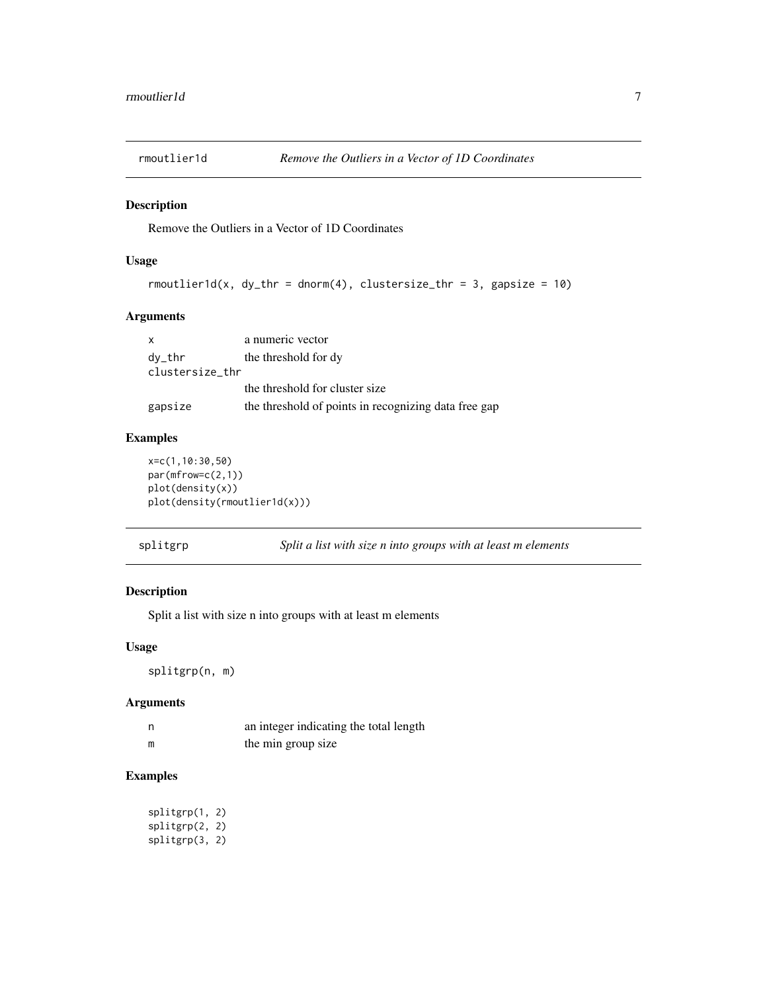<span id="page-6-0"></span>

#### Description

Remove the Outliers in a Vector of 1D Coordinates

#### Usage

```
rmoutlier1d(x, dy_thr = dnorm(4), clustersize_thr = 3, gapsize = 10)
```
#### Arguments

| $\mathsf{x}$    | a numeric vector                                     |
|-----------------|------------------------------------------------------|
| dy_thr          | the threshold for dy                                 |
| clustersize_thr |                                                      |
|                 | the threshold for cluster size                       |
| gapsize         | the threshold of points in recognizing data free gap |

#### Examples

```
x=c(1,10:30,50)
par(mfrow=c(2,1))
plot(density(x))
plot(density(rmoutlier1d(x)))
```
splitgrp *Split a list with size n into groups with at least m elements*

#### Description

Split a list with size n into groups with at least m elements

#### Usage

splitgrp(n, m)

#### Arguments

| - n | an integer indicating the total length |
|-----|----------------------------------------|
|     | the min group size                     |

```
splitgrp(1, 2)
splitgrp(2, 2)
splitgrp(3, 2)
```